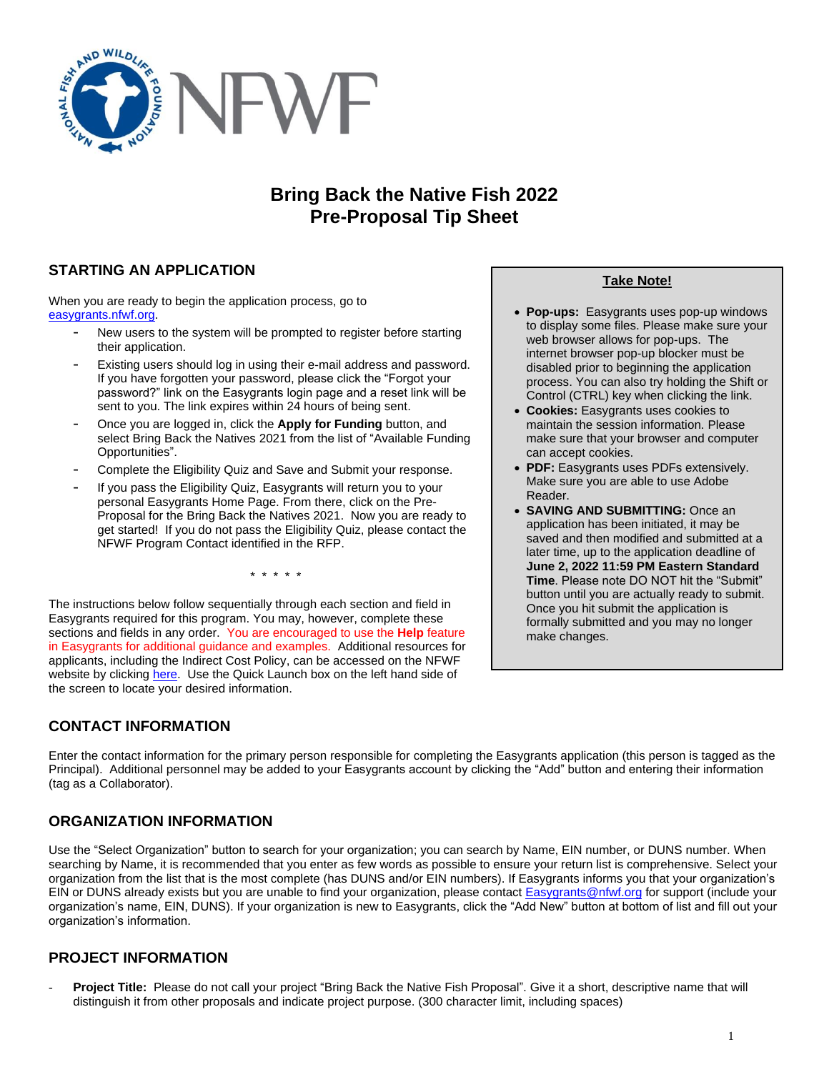

# **Bring Back the Native Fish 2022 Pre-Proposal Tip Sheet**

## **STARTING AN APPLICATION**

When you are ready to begin the application process, go to [easygrants.nfwf.org.](https://easygrants.nfwf.org/)

- New users to the system will be prompted to register before starting their application.
- Existing users should log in using their e-mail address and password. If you have forgotten your password, please click the "Forgot your password?" link on the Easygrants login page and a reset link will be sent to you. The link expires within 24 hours of being sent.
- Once you are logged in, click the **Apply for Funding** button, and select Bring Back the Natives 2021 from the list of "Available Funding Opportunities".
- Complete the Eligibility Quiz and Save and Submit your response.
- If you pass the Eligibility Quiz, Easygrants will return you to your personal Easygrants Home Page. From there, click on the Pre-Proposal for the Bring Back the Natives 2021. Now you are ready to get started! If you do not pass the Eligibility Quiz, please contact the NFWF Program Contact identified in the RFP.

\* \* \* \* \*

The instructions below follow sequentially through each section and field in Easygrants required for this program. You may, however, complete these sections and fields in any order. You are encouraged to use the **Help** feature in Easygrants for additional guidance and examples. Additional resources for applicants, including the Indirect Cost Policy, can be accessed on the NFWF website by clicking [here.](http://www.nfwf.org/whatwedo/grants/applicants/Pages/home.aspx) Use the Quick Launch box on the left hand side of the screen to locate your desired information.

# **CONTACT INFORMATION**

**Take Note!**

- **Pop-ups:** Easygrants uses pop-up windows to display some files. Please make sure your web browser allows for pop-ups. The internet browser pop-up blocker must be disabled prior to beginning the application process. You can also try holding the Shift or Control (CTRL) key when clicking the link.
- **Cookies:** Easygrants uses cookies to maintain the session information. Please make sure that your browser and computer can accept cookies.
- **PDF:** Easygrants uses PDFs extensively. Make sure you are able to use Adobe Reader.
- **SAVING AND SUBMITTING:** Once an application has been initiated, it may be saved and then modified and submitted at a later time, up to the application deadline of **June 2, 2022 11:59 PM Eastern Standard Time**. Please note DO NOT hit the "Submit" button until you are actually ready to submit. Once you hit submit the application is formally submitted and you may no longer make changes.

Enter the contact information for the primary person responsible for completing the Easygrants application (this person is tagged as the Principal). Additional personnel may be added to your Easygrants account by clicking the "Add" button and entering their information (tag as a Collaborator).

# **ORGANIZATION INFORMATION**

Use the "Select Organization" button to search for your organization; you can search by Name, EIN number, or DUNS number. When searching by Name, it is recommended that you enter as few words as possible to ensure your return list is comprehensive. Select your organization from the list that is the most complete (has DUNS and/or EIN numbers). If Easygrants informs you that your organization's EIN or DUNS already exists but you are unable to find your organization, please contact **Easygrants@nfwf.org** for support (include your organization's name, EIN, DUNS). If your organization is new to Easygrants, click the "Add New" button at bottom of list and fill out your organization's information.

## **PROJECT INFORMATION**

- **Project Title:** Please do not call your project "Bring Back the Native Fish Proposal". Give it a short, descriptive name that will distinguish it from other proposals and indicate project purpose. (300 character limit, including spaces)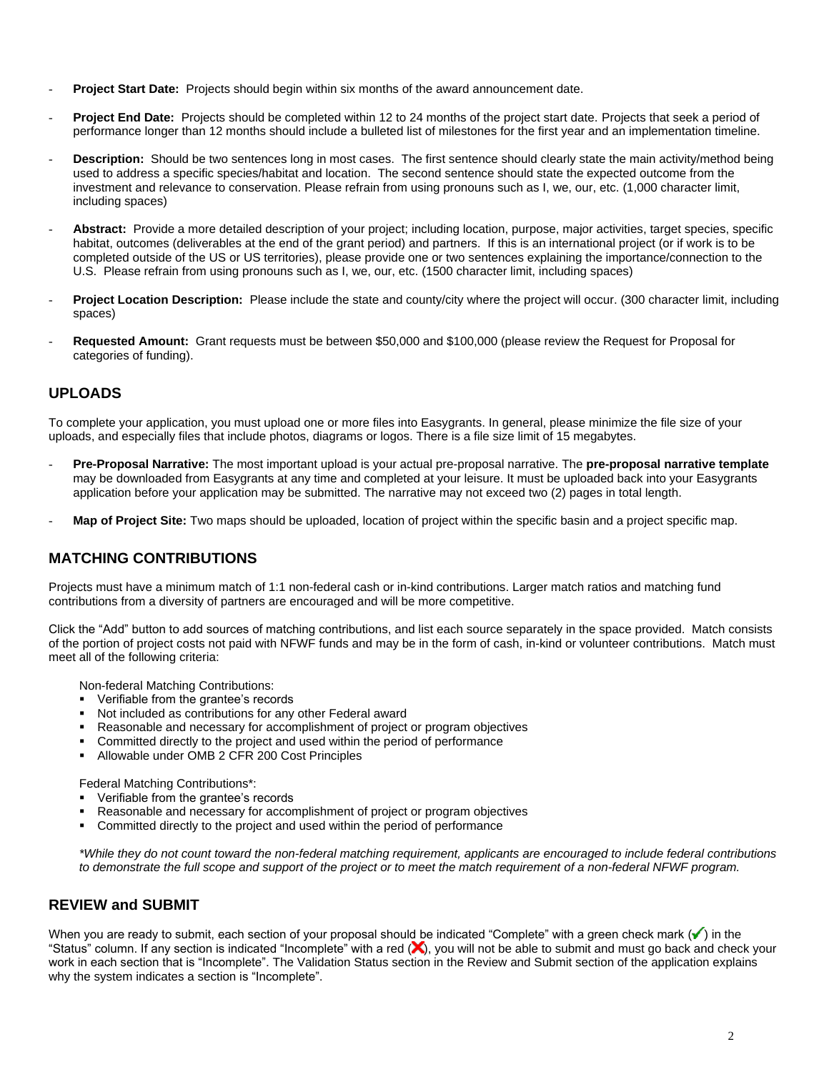- **Project Start Date:** Projects should begin within six months of the award announcement date.
- **Project End Date:** Projects should be completed within 12 to 24 months of the project start date. Projects that seek a period of performance longer than 12 months should include a bulleted list of milestones for the first year and an implementation timeline.
- **Description:** Should be two sentences long in most cases. The first sentence should clearly state the main activity/method being used to address a specific species/habitat and location. The second sentence should state the expected outcome from the investment and relevance to conservation. Please refrain from using pronouns such as I, we, our, etc. (1,000 character limit, including spaces)
- Abstract: Provide a more detailed description of your project; including location, purpose, major activities, target species, specific habitat, outcomes (deliverables at the end of the grant period) and partners. If this is an international project (or if work is to be completed outside of the US or US territories), please provide one or two sentences explaining the importance/connection to the U.S. Please refrain from using pronouns such as I, we, our, etc. (1500 character limit, including spaces)
- Project Location Description: Please include the state and county/city where the project will occur. (300 character limit, including spaces)
- **Requested Amount:** Grant requests must be between \$50,000 and \$100,000 (please review the Request for Proposal for categories of funding).

## **UPLOADS**

To complete your application, you must upload one or more files into Easygrants. In general, please minimize the file size of your uploads, and especially files that include photos, diagrams or logos. There is a file size limit of 15 megabytes.

- **Pre-Proposal Narrative:** The most important upload is your actual pre-proposal narrative. The **pre-proposal narrative template** may be downloaded from Easygrants at any time and completed at your leisure. It must be uploaded back into your Easygrants application before your application may be submitted. The narrative may not exceed two (2) pages in total length.
- Map of Project Site: Two maps should be uploaded, location of project within the specific basin and a project specific map.

## **MATCHING CONTRIBUTIONS**

Projects must have a minimum match of 1:1 non-federal cash or in-kind contributions. Larger match ratios and matching fund contributions from a diversity of partners are encouraged and will be more competitive.

Click the "Add" button to add sources of matching contributions, and list each source separately in the space provided. Match consists of the portion of project costs not paid with NFWF funds and may be in the form of cash, in-kind or volunteer contributions. Match must meet all of the following criteria:

Non-federal Matching Contributions:

- Verifiable from the grantee's records
- Not included as contributions for any other Federal award
- Reasonable and necessary for accomplishment of project or program objectives
- Committed directly to the project and used within the period of performance
- Allowable under OMB 2 CFR 200 Cost Principles

Federal Matching Contributions\*:

- Verifiable from the grantee's records
- Reasonable and necessary for accomplishment of project or program objectives
- Committed directly to the project and used within the period of performance

*\*While they do not count toward the non-federal matching requirement, applicants are encouraged to include federal contributions to demonstrate the full scope and support of the project or to meet the match requirement of a non-federal NFWF program.*

## **REVIEW and SUBMIT**

When you are ready to submit, each section of your proposal should be indicated "Complete" with a green check mark  $(\checkmark)$  in the "Status" column. If any section is indicated "Incomplete" with a red  $(x)$ , you will not be able to submit and must go back and check your work in each section that is "Incomplete". The Validation Status section in the Review and Submit section of the application explains why the system indicates a section is "Incomplete".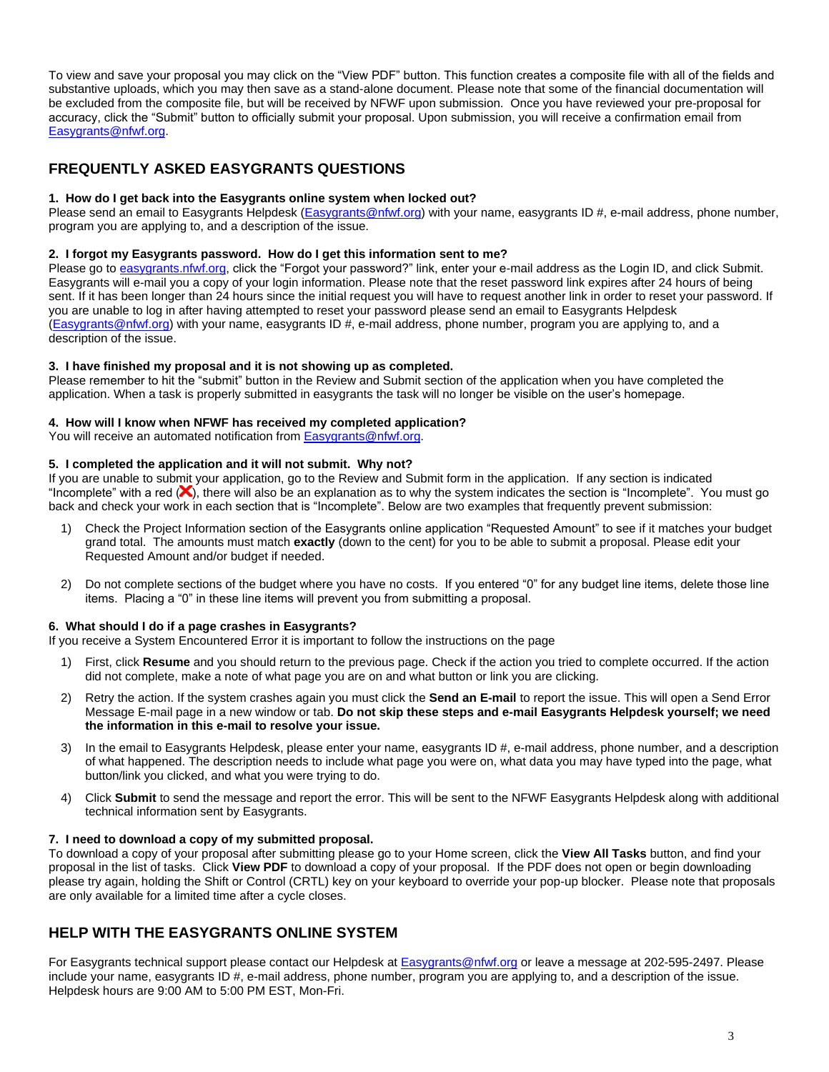To view and save your proposal you may click on the "View PDF" button. This function creates a composite file with all of the fields and substantive uploads, which you may then save as a stand-alone document. Please note that some of the financial documentation will be excluded from the composite file, but will be received by NFWF upon submission. Once you have reviewed your pre-proposal for accuracy, click the "Submit" button to officially submit your proposal. Upon submission, you will receive a confirmation email from [Easygrants@nfwf.org.](mailto:Easygrants@nfwf.org)

## **FREQUENTLY ASKED EASYGRANTS QUESTIONS**

#### **1. How do I get back into the Easygrants online system when locked out?**

Please send an email to Easygrants Helpdesk [\(Easygrants@nfwf.org\)](mailto:Easygrants@nfwf.org) with your name, easygrants ID #, e-mail address, phone number, program you are applying to, and a description of the issue.

#### **2. I forgot my Easygrants password. How do I get this information sent to me?**

Please go to [easygrants.nfwf.org,](https://easygrants.nfwf.org/) click the "Forgot your password?" link, enter your e-mail address as the Login ID, and click Submit. Easygrants will e-mail you a copy of your login information. Please note that the reset password link expires after 24 hours of being sent. If it has been longer than 24 hours since the initial request you will have to request another link in order to reset your password. If you are unable to log in after having attempted to reset your password please send an email to Easygrants Helpdesk [\(Easygrants@nfwf.org\)](mailto:Easygrants@nfwf.org) with your name, easygrants ID #, e-mail address, phone number, program you are applying to, and a description of the issue.

## **3. I have finished my proposal and it is not showing up as completed.**

Please remember to hit the "submit" button in the Review and Submit section of the application when you have completed the application. When a task is properly submitted in easygrants the task will no longer be visible on the user's homepage.

## **4. How will I know when NFWF has received my completed application?**

You will receive an automated notification fro[m Easygrants@nfwf.org.](mailto:Easygrants@nfwf.org)

## **5. I completed the application and it will not submit. Why not?**

If you are unable to submit your application, go to the Review and Submit form in the application.If any section is indicated "Incomplete" with a red  $(X)$ , there will also be an explanation as to why the system indicates the section is "Incomplete". You must go back and check your work in each section that is "Incomplete". Below are two examples that frequently prevent submission:

- 1) Check the Project Information section of the Easygrants online application "Requested Amount" to see if it matches your budget grand total. The amounts must match **exactly** (down to the cent) for you to be able to submit a proposal. Please edit your Requested Amount and/or budget if needed.
- 2) Do not complete sections of the budget where you have no costs. If you entered "0" for any budget line items, delete those line items. Placing a "0" in these line items will prevent you from submitting a proposal.

## **6. What should I do if a page crashes in Easygrants?**

If you receive a System Encountered Error it is important to follow the instructions on the page

- 1) First, click **Resume** and you should return to the previous page. Check if the action you tried to complete occurred. If the action did not complete, make a note of what page you are on and what button or link you are clicking.
- 2) Retry the action. If the system crashes again you must click the **Send an E-mail** to report the issue. This will open a Send Error Message E-mail page in a new window or tab. **Do not skip these steps and e-mail Easygrants Helpdesk yourself; we need the information in this e-mail to resolve your issue.**
- 3) In the email to Easygrants Helpdesk, please enter your name, easygrants ID #, e-mail address, phone number, and a description of what happened. The description needs to include what page you were on, what data you may have typed into the page, what button/link you clicked, and what you were trying to do.
- 4) Click **Submit** to send the message and report the error. This will be sent to the NFWF Easygrants Helpdesk along with additional technical information sent by Easygrants.

#### **7. I need to download a copy of my submitted proposal.**

To download a copy of your proposal after submitting please go to your Home screen, click the **View All Tasks** button, and find your proposal in the list of tasks. Click **View PDF** to download a copy of your proposal. If the PDF does not open or begin downloading please try again, holding the Shift or Control (CRTL) key on your keyboard to override your pop-up blocker. Please note that proposals are only available for a limited time after a cycle closes.

## **HELP WITH THE EASYGRANTS ONLINE SYSTEM**

For Easygrants technical support please contact our Helpdesk at **Easygrants@nfwf.org or leave a message at 202-595-2497**. Please include your name, easygrants ID #, e-mail address, phone number, program you are applying to, and a description of the issue. Helpdesk hours are 9:00 AM to 5:00 PM EST, Mon-Fri.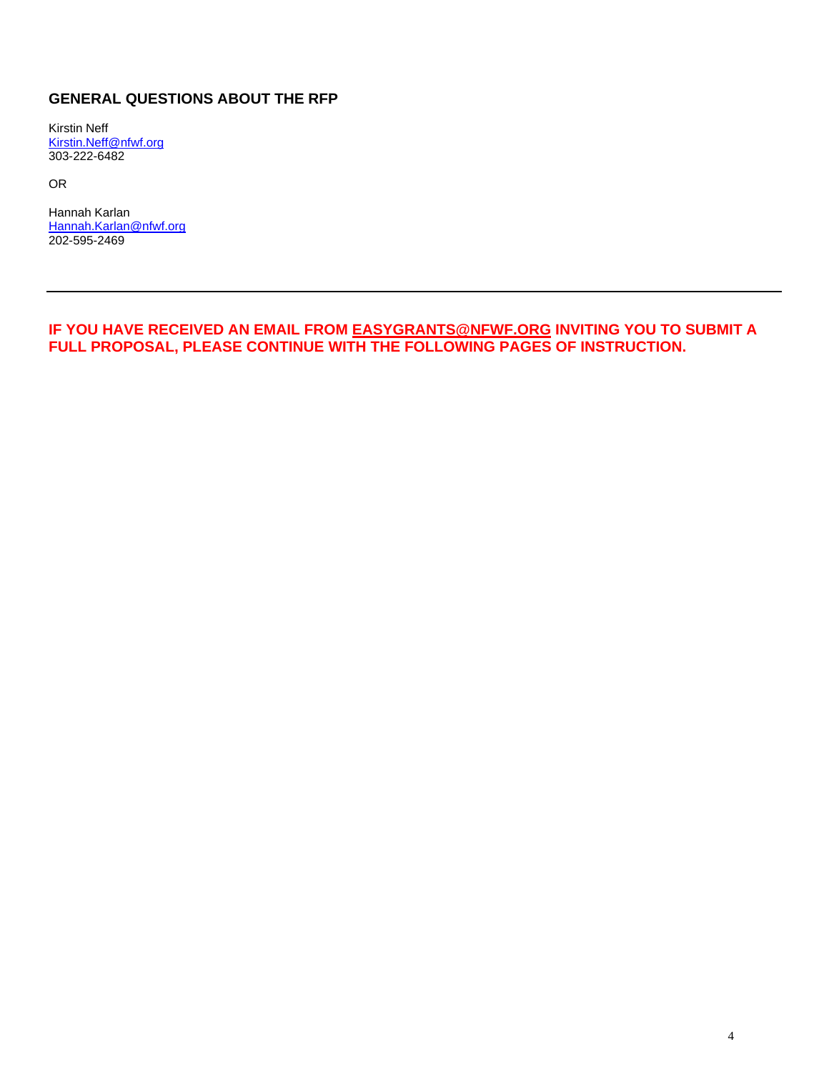## **GENERAL QUESTIONS ABOUT THE RFP**

Kirstin Neff [Kirstin.Neff@nfwf.org](mailto:Kirstin.Neff@nfwf.org) 303-222-6482

OR

Hannah Karlan [Hannah.Karlan@nfwf.org](mailto:Hannah.Karlan@nfwf.org) 202-595-2469

**IF YOU HAVE RECEIVED AN EMAIL FROM [EASYGRANTS@NFWF.ORG](mailto:EASYGRANTS@NFWF.ORG) INVITING YOU TO SUBMIT A FULL PROPOSAL, PLEASE CONTINUE WITH THE FOLLOWING PAGES OF INSTRUCTION.**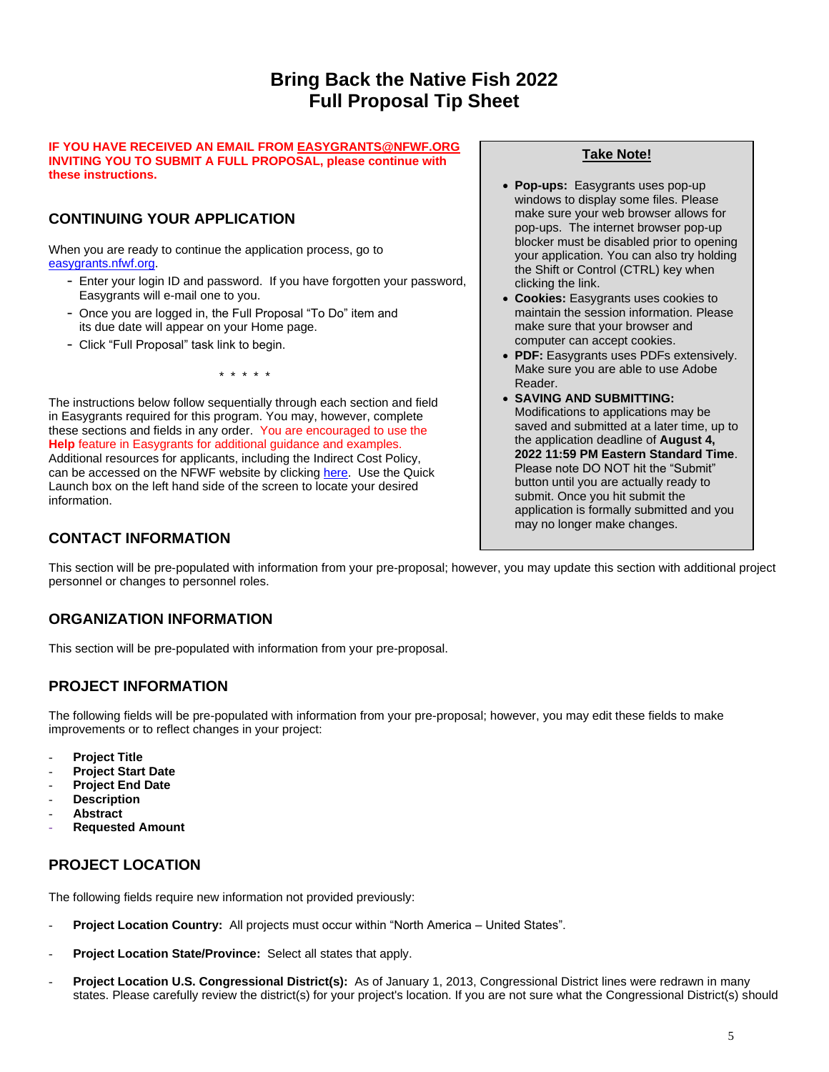# **Bring Back the Native Fish 2022 Full Proposal Tip Sheet**

#### **IF YOU HAVE RECEIVED AN EMAIL FRO[M EASYGRANTS@NFWF.ORG](mailto:EASYGRANTS@NFWF.ORG) INVITING YOU TO SUBMIT A FULL PROPOSAL, please continue with these instructions.**

# **CONTINUING YOUR APPLICATION**

When you are ready to continue the application process, go to [easygrants.nfwf.org.](https://easygrants.nfwf.org/)

- Enter your login ID and password. If you have forgotten your password, Easygrants will e-mail one to you.
- Once you are logged in, the Full Proposal "To Do" item and its due date will appear on your Home page.
- Click "Full Proposal" task link to begin.

\* \* \* \* \*

The instructions below follow sequentially through each section and field in Easygrants required for this program. You may, however, complete these sections and fields in any order. You are encouraged to use the **Help** feature in Easygrants for additional guidance and examples. Additional resources for applicants, including the Indirect Cost Policy, can be accessed on the NFWF website by clicking [here.](http://www.nfwf.org/whatwedo/grants/applicants/Pages/home.aspx) Use the Quick Launch box on the left hand side of the screen to locate your desired information.

## **CONTACT INFORMATION**

## **Take Note!**

- **Pop-ups:** Easygrants uses pop-up windows to display some files. Please make sure your web browser allows for pop-ups. The internet browser pop-up blocker must be disabled prior to opening your application. You can also try holding the Shift or Control (CTRL) key when clicking the link.
- **Cookies:** Easygrants uses cookies to maintain the session information. Please make sure that your browser and computer can accept cookies.
- **PDF:** Easygrants uses PDFs extensively. Make sure you are able to use Adobe Reader.
- **SAVING AND SUBMITTING:**  Modifications to applications may be saved and submitted at a later time, up to the application deadline of **August 4, 2022 11:59 PM Eastern Standard Time**. Please note DO NOT hit the "Submit" button until you are actually ready to submit. Once you hit submit the application is formally submitted and you may no longer make changes.

This section will be pre-populated with information from your pre-proposal; however, you may update this section with additional project personnel or changes to personnel roles.

# **ORGANIZATION INFORMATION**

This section will be pre-populated with information from your pre-proposal.

## **PROJECT INFORMATION**

The following fields will be pre-populated with information from your pre-proposal; however, you may edit these fields to make improvements or to reflect changes in your project:

- **Project Title**
- **Project Start Date**
- **Project End Date**
- **Description**
- **Abstract**
- **Requested Amount**

## **PROJECT LOCATION**

The following fields require new information not provided previously:

- **Project Location Country:** All projects must occur within "North America United States".
- **Project Location State/Province:** Select all states that apply.
- **Project Location U.S. Congressional District(s):** As of January 1, 2013, Congressional District lines were redrawn in many states. Please carefully review the district(s) for your project's location. If you are not sure what the Congressional District(s) should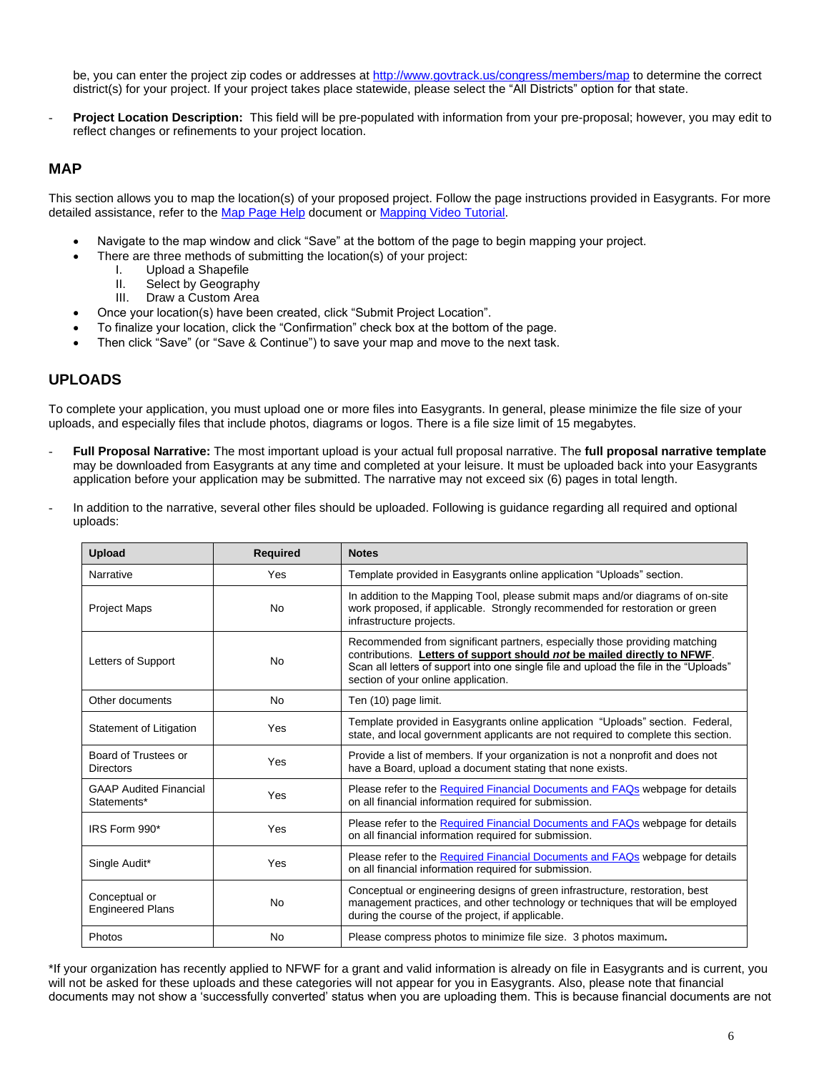be, you can enter the project zip codes or addresse[s at](http://www.govtrack.us/congress/members/map) <http://www.govtrack.us/congress/members/map> to determine the correct district(s) for your project. If your project takes place statewide, please select the "All Districts" option for that state.

- **Project Location Description:** This field will be pre-populated with information from your pre-proposal; however, you may edit to reflect changes or refinements to your project location.

## **MAP**

This section allows you to map the location(s) of your proposed project. Follow the page instructions provided in Easygrants. For more detailed assistance, refer to th[e Map Page Help](http://www.nfwf.org/whatwedo/grants/Documents/HelpFile.Proposal.Map.pdf) document o[r Mapping Video Tutorial.](http://www.nfwf.org/whatwedo/grants/applicants/Pages/mapping-tool.aspx#.VfH2mpd1b70)

- Navigate to the map window and click "Save" at the bottom of the page to begin mapping your project.
- There are three methods of submitting the location(s) of your project:
	- I. Upload a Shapefile
	- II. Select by Geography
	- III. Draw a Custom Area
- Once your location(s) have been created, click "Submit Project Location".
- To finalize your location, click the "Confirmation" check box at the bottom of the page.
- Then click "Save" (or "Save & Continue") to save your map and move to the next task.

## **UPLOADS**

To complete your application, you must upload one or more files into Easygrants. In general, please minimize the file size of your uploads, and especially files that include photos, diagrams or logos. There is a file size limit of 15 megabytes.

- **Full Proposal Narrative:** The most important upload is your actual full proposal narrative. The **full proposal narrative template** may be downloaded from Easygrants at any time and completed at your leisure. It must be uploaded back into your Easygrants application before your application may be submitted. The narrative may not exceed six (6) pages in total length.
- In addition to the narrative, several other files should be uploaded. Following is guidance regarding all required and optional uploads:

| <b>Upload</b>                                | <b>Required</b> | <b>Notes</b>                                                                                                                                                                                                                                                                           |
|----------------------------------------------|-----------------|----------------------------------------------------------------------------------------------------------------------------------------------------------------------------------------------------------------------------------------------------------------------------------------|
| Narrative                                    | Yes             | Template provided in Easygrants online application "Uploads" section.                                                                                                                                                                                                                  |
| <b>Project Maps</b>                          | No              | In addition to the Mapping Tool, please submit maps and/or diagrams of on-site<br>work proposed, if applicable. Strongly recommended for restoration or green<br>infrastructure projects.                                                                                              |
| Letters of Support                           | <b>No</b>       | Recommended from significant partners, especially those providing matching<br>contributions. Letters of support should not be mailed directly to NFWF.<br>Scan all letters of support into one single file and upload the file in the "Uploads"<br>section of your online application. |
| Other documents                              | <b>No</b>       | Ten (10) page limit.                                                                                                                                                                                                                                                                   |
| Statement of Litigation                      | Yes             | Template provided in Easygrants online application "Uploads" section. Federal,<br>state, and local government applicants are not required to complete this section.                                                                                                                    |
| Board of Trustees or<br>Directors            | Yes             | Provide a list of members. If your organization is not a nonprofit and does not<br>have a Board, upload a document stating that none exists.                                                                                                                                           |
| <b>GAAP Audited Financial</b><br>Statements* | Yes             | Please refer to the Required Financial Documents and FAQs webpage for details<br>on all financial information required for submission.                                                                                                                                                 |
| IRS Form 990*                                | Yes             | Please refer to the Required Financial Documents and FAQs webpage for details<br>on all financial information required for submission.                                                                                                                                                 |
| Single Audit*                                | Yes             | Please refer to the Required Financial Documents and FAQs webpage for details<br>on all financial information required for submission.                                                                                                                                                 |
| Conceptual or<br><b>Engineered Plans</b>     | No              | Conceptual or engineering designs of green infrastructure, restoration, best<br>management practices, and other technology or techniques that will be employed<br>during the course of the project, if applicable.                                                                     |
| Photos                                       | No              | Please compress photos to minimize file size. 3 photos maximum.                                                                                                                                                                                                                        |

\*If your organization has recently applied to NFWF for a grant and valid information is already on file in Easygrants and is current, you will not be asked for these uploads and these categories will not appear for you in Easygrants. Also, please note that financial documents may not show a 'successfully converted' status when you are uploading them. This is because financial documents are not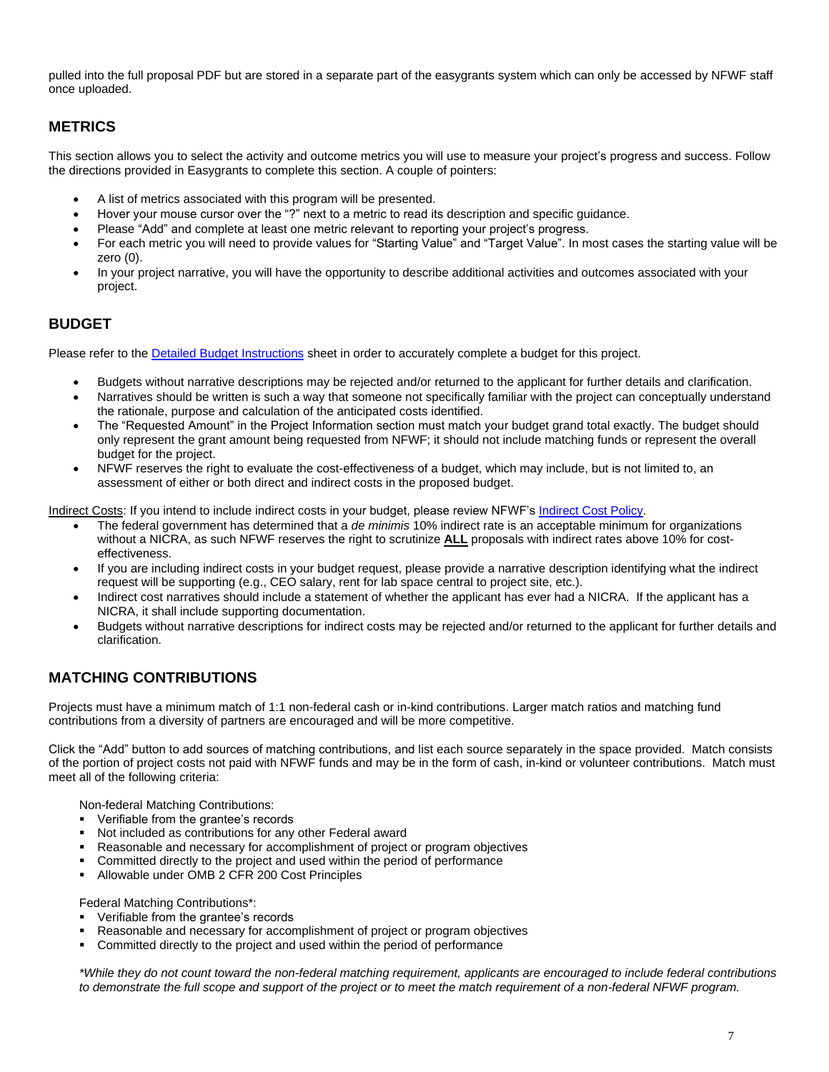pulled into the full proposal PDF but are stored in a separate part of the easygrants system which can only be accessed by NFWF staff once uploaded.

## **METRICS**

This section allows you to select the activity and outcome metrics you will use to measure your project's progress and success. Follow the directions provided in Easygrants to complete this section. A couple of pointers:

- A list of metrics associated with this program will be presented.
- Hover your mouse cursor over the "?" next to a metric to read its description and specific guidance.
- Please "Add" and complete at least one metric relevant to reporting your project's progress.
- For each metric you will need to provide values for "Starting Value" and "Target Value". In most cases the starting value will be zero (0).
- In your project narrative, you will have the opportunity to describe additional activities and outcomes associated with your project.

## **BUDGET**

Please refer to the [Detailed Budget Instructions](http://www.nfwf.org/whatwedo/grants/applicants/Pages/budget-instructions.aspx) sheet in order to accurately complete a budget for this project.

- Budgets without narrative descriptions may be rejected and/or returned to the applicant for further details and clarification.
- Narratives should be written is such a way that someone not specifically familiar with the project can conceptually understand the rationale, purpose and calculation of the anticipated costs identified.
- The "Requested Amount" in the Project Information section must match your budget grand total exactly. The budget should only represent the grant amount being requested from NFWF; it should not include matching funds or represent the overall budget for the project.
- NFWF reserves the right to evaluate the cost-effectiveness of a budget, which may include, but is not limited to, an assessment of either or both direct and indirect costs in the proposed budget.

Indirect Costs: If you intend to include indirect costs in your budget, please review NFWF's [Indirect Cost Policy.](http://www.nfwf.org/whatwedo/grants/applicants/Pages/indirect-policy.aspx)

- The federal government has determined that a *de minimis* 10% indirect rate is an acceptable minimum for organizations without a NICRA, as such NFWF reserves the right to scrutinize **ALL** proposals with indirect rates above 10% for costeffectiveness.
- If you are including indirect costs in your budget request, please provide a narrative description identifying what the indirect request will be supporting (e.g., CEO salary, rent for lab space central to project site, etc.).
- Indirect cost narratives should include a statement of whether the applicant has ever had a NICRA. If the applicant has a NICRA, it shall include supporting documentation.
- Budgets without narrative descriptions for indirect costs may be rejected and/or returned to the applicant for further details and clarification.

## **MATCHING CONTRIBUTIONS**

Projects must have a minimum match of 1:1 non-federal cash or in-kind contributions. Larger match ratios and matching fund contributions from a diversity of partners are encouraged and will be more competitive.

Click the "Add" button to add sources of matching contributions, and list each source separately in the space provided. Match consists of the portion of project costs not paid with NFWF funds and may be in the form of cash, in-kind or volunteer contributions. Match must meet all of the following criteria:

Non-federal Matching Contributions:

- Verifiable from the grantee's records
- Not included as contributions for any other Federal award
- Reasonable and necessary for accomplishment of project or program objectives
- Committed directly to the project and used within the period of performance
- Allowable under OMB 2 CFR 200 Cost Principles

Federal Matching Contributions\*:

- Verifiable from the grantee's records
- Reasonable and necessary for accomplishment of project or program objectives
- **Committed directly to the project and used within the period of performance**

*\*While they do not count toward the non-federal matching requirement, applicants are encouraged to include federal contributions to demonstrate the full scope and support of the project or to meet the match requirement of a non-federal NFWF program.*